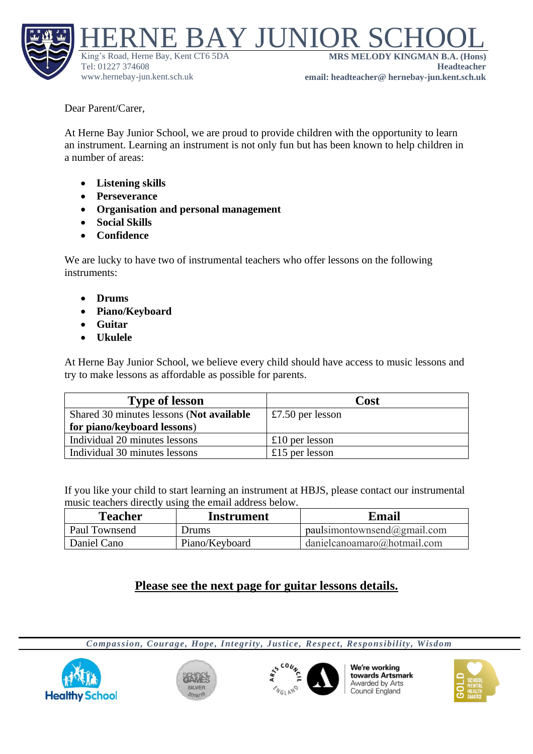

Dear Parent/Carer,

At Herne Bay Junior School, we are proud to provide children with the opportunity to learn an instrument. Learning an instrument is not only fun but has been known to help children in a number of areas:

- **Listening skills**
- **Perseverance**
- **Organisation and personal management**
- **Social Skills**
- **Confidence**

We are lucky to have two of instrumental teachers who offer lessons on the following instruments:

- **Drums**
- **Piano/Keyboard**
- **Guitar**
- **Ukulele**

At Herne Bay Junior School, we believe every child should have access to music lessons and try to make lessons as affordable as possible for parents.

| <b>Type of lesson</b>                    | Cost                  |
|------------------------------------------|-----------------------|
| Shared 30 minutes lessons (Not available | $\pm 7.50$ per lesson |
| for piano/keyboard lessons)              |                       |
| Individual 20 minutes lessons            | £10 per lesson        |
| Individual 30 minutes lessons            | £15 per lesson        |

If you like your child to start learning an instrument at HBJS, please contact our instrumental music teachers directly using the email address below.

| Teacher       | Instrument     | Email                              |
|---------------|----------------|------------------------------------|
| Paul Townsend | Drums          | paulsimontownsend@gmail.com        |
| Daniel Cano   | Piano/Keyboard | $\Box$ danielcanoamaro@hotmail.com |

## **Please see the next page for guitar lessons details.**

*Compassion, Courage, Hope, Integrity, Justice, Respect, Responsibility, Wisdom*







We're working towards Artsmark Awarded by Arts Council England